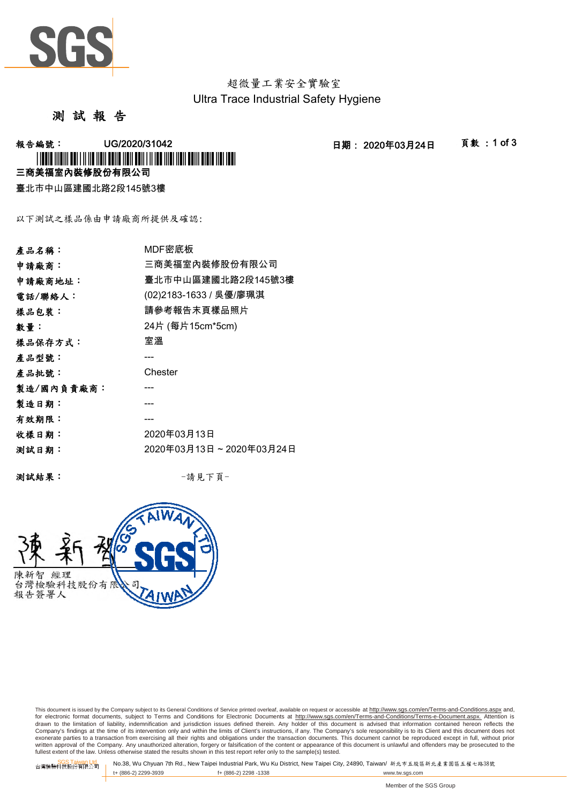

超微量工業安全實驗室 Ultra Trace Industrial Safety Hygiene

測 試 報 告

-<br>報告編號: UG/2020/31042 日期: 2020年03月24日 頁數:1 of 3

三商美福室內裝修股份有限公司 \* I TO OFFICE THE INTERFERENCE IN THE USE OF THE THE USE OF THE USE OF THE USE OF THE USE OF THE USE OF THE US

臺北市中山區建國北路2段145號3樓

以下測試之樣品係由申請廠商所提供及確認:

| 產品名稱:      | MDF密底板                  |
|------------|-------------------------|
| 申請廠商:      | 三商美福室內裝修股份有限公司          |
| 申請廠商地址:    | 臺北市中山區建國北路2段145號3樓      |
| 電話/聯絡人:    | (02)2183-1633 / 吳優/廖珮淇  |
| 樣品包裝:      | 請參考報告末頁樣品照片             |
| 數量:        | 24片 (每片15cm*5cm)        |
| 樣品保存方式:    | 室溫                      |
| 產品型號:      |                         |
| 產品批號:      | Chester                 |
| 製造/國內負責廠商: |                         |
| 製造日期:      |                         |
| 有效期限:      |                         |
| 收樣日期:      | 2020年03月13日             |
| 测試日期:      | 2020年03月13日~2020年03月24日 |
|            |                         |

測試結果: -請見下頁-



This document is issued by the Company subject to its General Conditions of Service printed overleaf, available on request or accessible at http://www.sgs.com/en/Terms-and-Conditions.aspx and, for electronic format documents, subject to Terms and Conditions for Electronic Documents at <u>http://www.sqs.com/en/Terms-and-Conditions/Terms-e-Document.aspx.</u> Attention is<br>drawn to the limitation of liability, indemnific exonerate parties to a transaction from exercising all their rights and obligations under the transaction documents. This document cannot be reproduced except in full, without prior prior<br>written approval of the Company. A

SGS Taiwan Ltd. No.38, Wu Chyuan 7th Rd., New Taipei Industrial Park, Wu Ku District, New Taipei City, 24890, Taiwan/ 新北市五股區新北產業園區五權七路38號<br>| t+ (886-2) 2299-3939 f+ (886-2) 2298 -1338 www.tw. t+ (886-2) 2299-3939 f+ (886-2) 2298 -1338 www.tw.sgs.com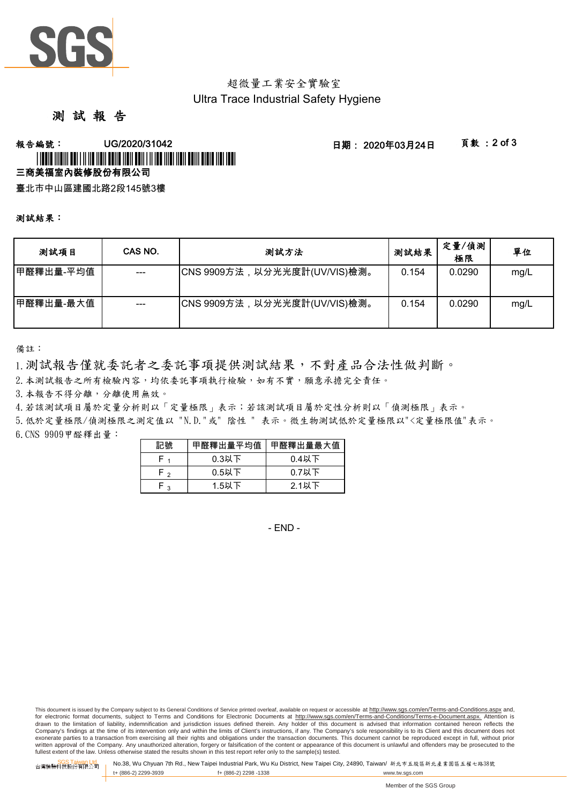

# 超微量工業安全實驗室 Ultra Trace Industrial Safety Hygiene

# 測 試 報 告

### -<br>報告編號: UG/2020/31042 日期: 2020年03月24日 頁數 :2 of 3 三商美福室內裝修股份有限公司 \* L'OURLE LITERE DE L'EST LITER DE L'OURLE LITER DE L'ALTER DE L'OURLE DE L'OURLE LITER DE L'OU

臺北市中山區建國北路2段145號3樓

#### 測試結果:

| 测試項目      | CAS NO. | 測試方法                         | 測試結果  | 定量/偵測<br>極限 | 單位   |
|-----------|---------|------------------------------|-------|-------------|------|
| 甲醛釋出量-平均值 | $--$    | CNS 9909方法,以分光光度計(UV/VIS)檢測。 | 0.154 | 0.0290      | mg/L |
| 甲醛釋出量-最大值 | $---$   | CNS 9909方法,以分光光度計(UV/VIS)檢測。 | 0.154 | 0.0290      | mg/L |

備註:

1.測試報告僅就委託者之委託事項提供測試結果,不對產品合法性做判斷。

2.本測試報告之所有檢驗內容,均依委託事項執行檢驗,如有不實,願意承擔完全責任。

3.本報告不得分離,分離使用無效。

4.若該測試項目屬於定量分析則以「定量極限」表示;若該測試項目屬於定性分析則以「偵測極限」表示。

6.CNS 9909甲醛釋出量: 5.低於定量極限/偵測極限之測定值以 "N.D."或" 陰性 " 表示。微生物測試低於定量極限以"<定量極限值"表示。

| 記號  | 甲醛釋出量平均值 | 甲醛釋出量最大值 |
|-----|----------|----------|
|     | $0.3$ 以下 | $0.4$ 以下 |
| ه ۱ | $0.5$ 以下 | $0.7$ 以下 |
| ໍາ  | 1.5以下    | 2.1以下    |

- END -

This document is issued by the Company subject to its General Conditions of Service printed overleaf, available on request or accessible at http://www.sgs.com/en/Terms-and-Conditions.aspx and, for electronic format documents, subject to Terms and Conditions for Electronic Documents at http://www.sgs.com/en/Terms-and-Conditions/Terms-e-Document.aspx. Attention is drawn to the limitation of liability, indemnification and jurisdiction issues defined therein. Any holder of this document is advised that information contained hereon reflects the<br>Company's findings at the time of its int exonerate parties to a transaction from exercising all their rights and obligations under the transaction documents. This document cannot be reproduced except in full, without prior written approval of the Company. Any unauthorized alteration, forgery or falsification of the content or appearance of this document is unlawful and offenders may be prosecuted to the<br>fullest extent of the law. Unless othe